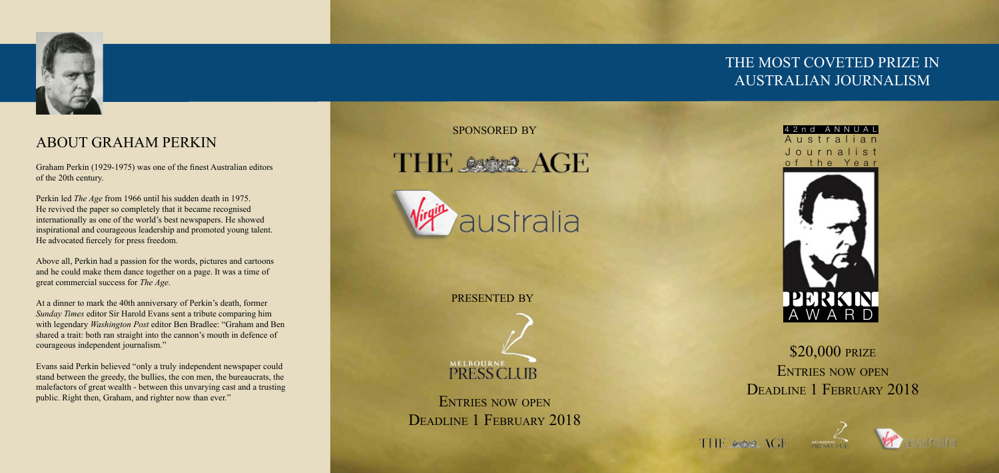

# \$20,000 PRIZE Entries now open DEADLINE 1 FEBRUARY 2018

THE Aster AGE





## THE MOST COVETED PRIZE IN AUSTRALIAN JOURNALISM





## ABOUT GRAHAM PERKIN

Graham Perkin (1929-1975) was one of the finest Australian editors of the 20th century.

Perkin led *The Age* from 1966 until his sudden death in 1975. He revived the paper so completely that it became recognised internationally as one of the world's best newspapers. He showed inspirational and courageous leadership and promoted young talent. He advocated fiercely for press freedom.

Evans said Perkin believed "only a truly independent newspaper could stand between the greedy, the bullies, the con men, the bureaucrats, the malefactors of great wealth - between this unvarying cast and a trusting public. Right then, Graham, and righter now than ever." ENTRIES NOW OPEN

Above all, Perkin had a passion for the words, pictures and cartoons and he could make them dance together on a page. It was a time of great commercial success for *The Age*.

At a dinner to mark the 40th anniversary of Perkin's death, former *Sunday Times* editor Sir Harold Evans sent a tribute comparing him with legendary *Washington Post* editor Ben Bradlee: "Graham and Ben shared a trait: both ran straight into the cannon's mouth in defence of courageous independent journalism."

presented by



DEADLINE 1 FEBRUARY 2018